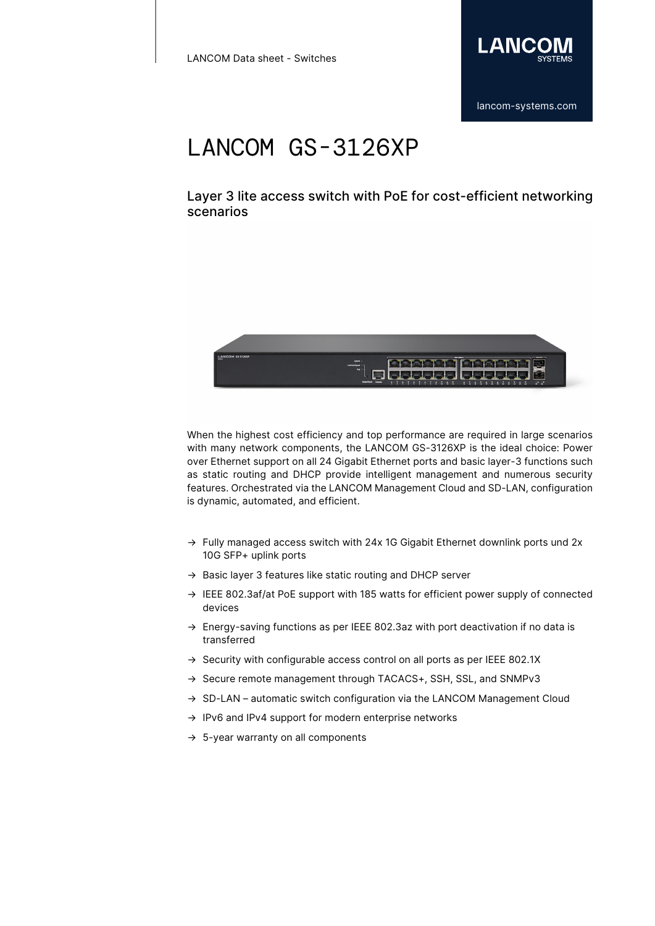

Layer 3 lite access switch with PoE for cost-efficient networking scenarios



When the highest cost efficiency and top performance are required in large scenarios with many network components, the LANCOM GS-3126XP is the ideal choice: Power over Ethernet support on all 24 Gigabit Ethernet ports and basic layer-3 functions such as static routing and DHCP provide intelligent management and numerous security features. Orchestrated via the LANCOM Management Cloud and SD-LAN, configuration is dynamic, automated, and efficient.

- $\rightarrow$  Fully managed access switch with 24x 1G Gigabit Ethernet downlink ports und 2x 10G SFP+ uplink ports
- → Basic layer 3 features like static routing and DHCP server
- → IEEE 802.3af/at PoE support with 185 watts for efficient power supply of connected devices
- → Energy-saving functions as per IEEE 802.3az with port deactivation if no data is transferred
- → Security with configurable access control on all ports as per IEEE 802.1X
- → Secure remote management through TACACS+, SSH, SSL, and SNMPv3
- → SD-LAN automatic switch configuration via the LANCOM Management Cloud
- → IPv6 and IPv4 support for modern enterprise networks
- $\rightarrow$  5-year warranty on all components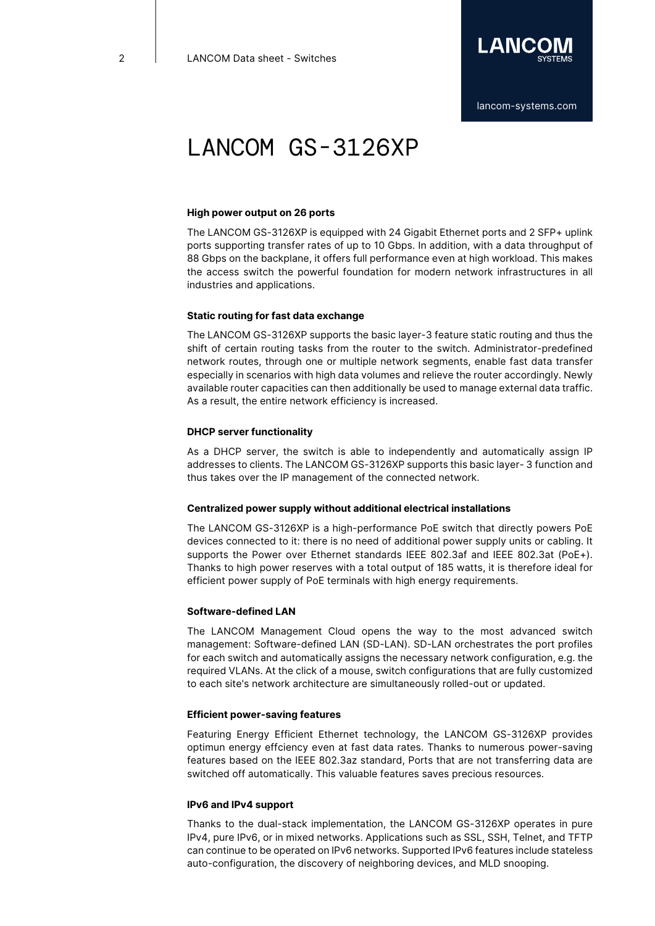

#### **High power output on 26 ports**

The LANCOM GS-3126XP is equipped with 24 Gigabit Ethernet ports and 2 SFP+ uplink ports supporting transfer rates of up to 10 Gbps. In addition, with a data throughput of 88 Gbps on the backplane, it offers full performance even at high workload. This makes the access switch the powerful foundation for modern network infrastructures in all industries and applications.

#### **Static routing for fast data exchange**

The LANCOM GS-3126XP supports the basic layer-3 feature static routing and thus the shift of certain routing tasks from the router to the switch. Administrator-predefined network routes, through one or multiple network segments, enable fast data transfer especially in scenarios with high data volumes and relieve the router accordingly. Newly available router capacities can then additionally be used to manage external data traffic. As a result, the entire network efficiency is increased.

#### **DHCP server functionality**

As a DHCP server, the switch is able to independently and automatically assign IP addresses to clients. The LANCOM GS-3126XP supports this basic layer- 3 function and thus takes over the IP management of the connected network.

#### **Centralized power supply without additional electrical installations**

The LANCOM GS-3126XP is a high-performance PoE switch that directly powers PoE devices connected to it: there is no need of additional power supply units or cabling. It supports the Power over Ethernet standards IEEE 802.3af and IEEE 802.3at (PoE+). Thanks to high power reserves with a total output of 185 watts, it is therefore ideal for efficient power supply of PoE terminals with high energy requirements.

#### **Software-defined LAN**

The LANCOM Management Cloud opens the way to the most advanced switch management: Software-defined LAN (SD-LAN). SD-LAN orchestrates the port profiles for each switch and automatically assigns the necessary network configuration, e.g. the required VLANs. At the click of a mouse, switch configurations that are fully customized to each site's network architecture are simultaneously rolled-out or updated.

#### **Efficient power-saving features**

Featuring Energy Efficient Ethernet technology, the LANCOM GS-3126XP provides optimun energy effciency even at fast data rates. Thanks to numerous power-saving features based on the IEEE 802.3az standard, Ports that are not transferring data are switched off automatically. This valuable features saves precious resources.

#### **IPv6 and IPv4 support**

Thanks to the dual-stack implementation, the LANCOM GS-3126XP operates in pure IPv4, pure IPv6, or in mixed networks. Applications such as SSL, SSH, Telnet, and TFTP can continue to be operated on IPv6 networks. Supported IPv6 features include stateless auto-configuration, the discovery of neighboring devices, and MLD snooping.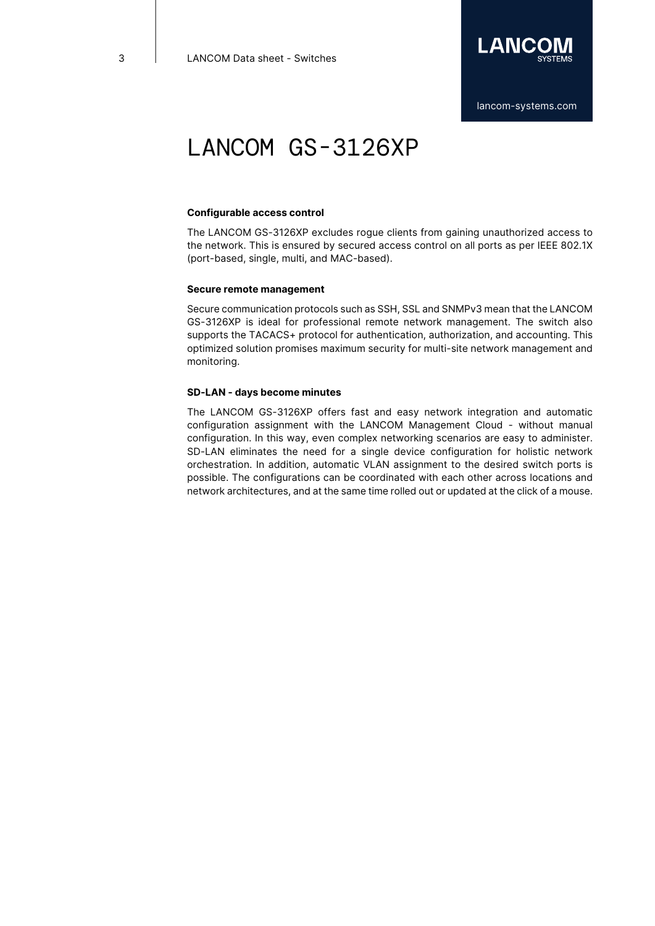

#### **Configurable access control**

The LANCOM GS-3126XP excludes rogue clients from gaining unauthorized access to the network. This is ensured by secured access control on all ports as per IEEE 802.1X (port-based, single, multi, and MAC-based).

#### **Secure remote management**

Secure communication protocols such as SSH, SSL and SNMPv3 mean that the LANCOM GS-3126XP is ideal for professional remote network management. The switch also supports the TACACS+ protocol for authentication, authorization, and accounting. This optimized solution promises maximum security for multi-site network management and monitoring.

#### **SD-LAN - days become minutes**

The LANCOM GS-3126XP offers fast and easy network integration and automatic configuration assignment with the LANCOM Management Cloud - without manual configuration. In this way, even complex networking scenarios are easy to administer. SD-LAN eliminates the need for a single device configuration for holistic network orchestration. In addition, automatic VLAN assignment to the desired switch ports is possible. The configurations can be coordinated with each other across locations and network architectures, and at the same time rolled out or updated at the click of a mouse.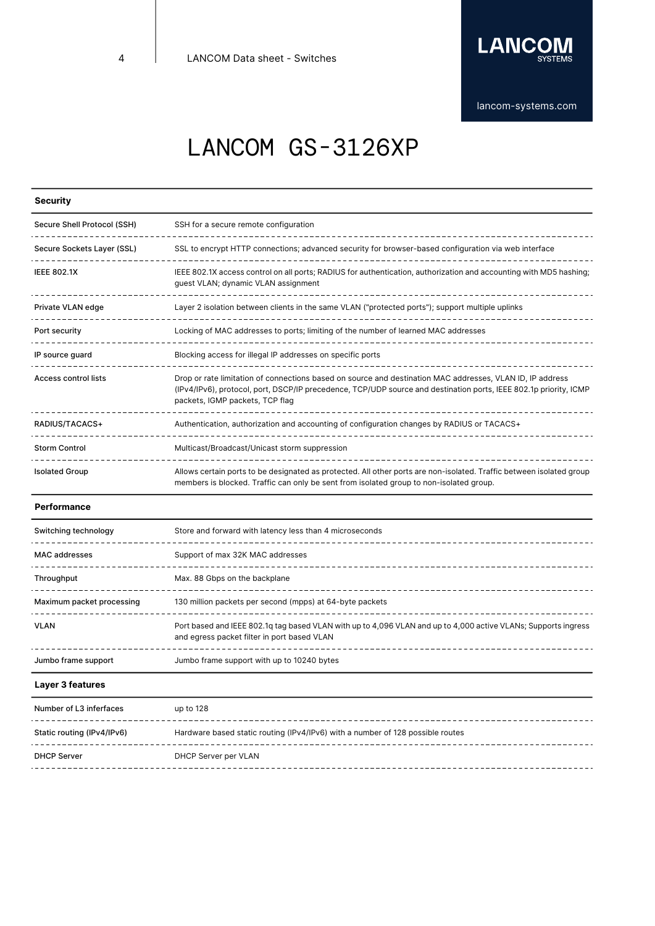

# LANCOM GS-3126XP

## **Security**

| Secure Shell Protocol (SSH) | SSH for a secure remote configuration                                                                                                                                                                                                                             |
|-----------------------------|-------------------------------------------------------------------------------------------------------------------------------------------------------------------------------------------------------------------------------------------------------------------|
| Secure Sockets Layer (SSL)  | SSL to encrypt HTTP connections; advanced security for browser-based configuration via web interface                                                                                                                                                              |
| <b>IEEE 802.1X</b>          | IEEE 802.1X access control on all ports; RADIUS for authentication, authorization and accounting with MD5 hashing;<br>guest VLAN; dynamic VLAN assignment                                                                                                         |
| Private VLAN edge           | Layer 2 isolation between clients in the same VLAN ("protected ports"); support multiple uplinks                                                                                                                                                                  |
| Port security               | Locking of MAC addresses to ports; limiting of the number of learned MAC addresses                                                                                                                                                                                |
| IP source quard             | Blocking access for illegal IP addresses on specific ports                                                                                                                                                                                                        |
| <b>Access control lists</b> | Drop or rate limitation of connections based on source and destination MAC addresses, VLAN ID, IP address<br>(IPv4/IPv6), protocol, port, DSCP/IP precedence, TCP/UDP source and destination ports, IEEE 802.1p priority, ICMP<br>packets, IGMP packets, TCP flag |
| RADIUS/TACACS+              | Authentication, authorization and accounting of configuration changes by RADIUS or TACACS+                                                                                                                                                                        |
| <b>Storm Control</b>        | Multicast/Broadcast/Unicast storm suppression                                                                                                                                                                                                                     |
| <b>Isolated Group</b>       | Allows certain ports to be designated as protected. All other ports are non-isolated. Traffic between isolated group<br>members is blocked. Traffic can only be sent from isolated group to non-isolated group.                                                   |

#### **Performance**

| Switching technology      | Store and forward with latency less than 4 microseconds                                                                                                       |
|---------------------------|---------------------------------------------------------------------------------------------------------------------------------------------------------------|
| MAC addresses             | Support of max 32K MAC addresses                                                                                                                              |
| Throughput                | Max. 88 Gbps on the backplane                                                                                                                                 |
| Maximum packet processing | 130 million packets per second (mpps) at 64-byte packets                                                                                                      |
| VLAN                      | Port based and IEEE 802.1q tag based VLAN with up to 4,096 VLAN and up to 4,000 active VLANs; Supports ingress<br>and egress packet filter in port based VLAN |
| Jumbo frame support       | Jumbo frame support with up to 10240 bytes                                                                                                                    |

#### **Layer 3 features**

| Number of L3 inferfaces    | up to 128                                                                      |
|----------------------------|--------------------------------------------------------------------------------|
| Static routing (IPv4/IPv6) | Hardware based static routing (IPv4/IPv6) with a number of 128 possible routes |
| <b>DHCP Server</b>         | DHCP Server per VLAN                                                           |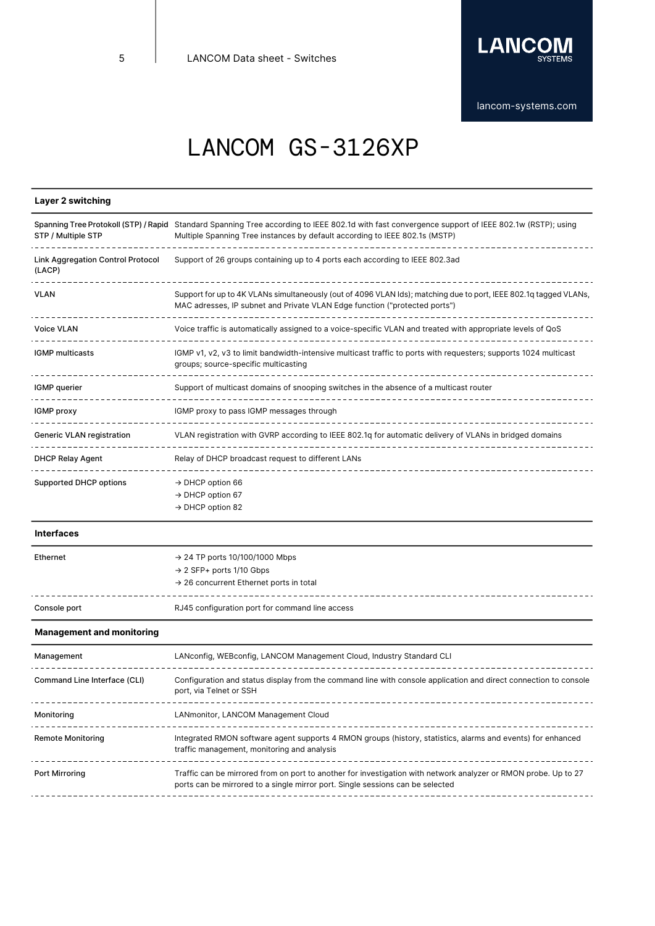

## **Layer 2 switching**

| STP / Multiple STP                                 | Spanning Tree Protokoll (STP) / Rapid Standard Spanning Tree according to IEEE 802.1d with fast convergence support of IEEE 802.1w (RSTP); using<br>Multiple Spanning Tree instances by default according to IEEE 802.1s (MSTP) |
|----------------------------------------------------|---------------------------------------------------------------------------------------------------------------------------------------------------------------------------------------------------------------------------------|
| <b>Link Aggregation Control Protocol</b><br>(LACP) | Support of 26 groups containing up to 4 ports each according to IEEE 802.3ad                                                                                                                                                    |
| <b>VLAN</b>                                        | Support for up to 4K VLANs simultaneously (out of 4096 VLAN lds); matching due to port, IEEE 802.1q tagged VLANs,<br>MAC adresses, IP subnet and Private VLAN Edge function ("protected ports")                                 |
| Voice VLAN                                         | Voice traffic is automatically assigned to a voice-specific VLAN and treated with appropriate levels of QoS                                                                                                                     |
| <b>IGMP</b> multicasts                             | IGMP v1, v2, v3 to limit bandwidth-intensive multicast traffic to ports with requesters; supports 1024 multicast<br>groups; source-specific multicasting                                                                        |
| IGMP querier                                       | Support of multicast domains of snooping switches in the absence of a multicast router                                                                                                                                          |
| IGMP proxy                                         | IGMP proxy to pass IGMP messages through                                                                                                                                                                                        |
| <b>Generic VLAN registration</b>                   | VLAN registration with GVRP according to IEEE 802.1q for automatic delivery of VLANs in bridged domains                                                                                                                         |
| <b>DHCP Relay Agent</b>                            | Relay of DHCP broadcast request to different LANs                                                                                                                                                                               |
| <b>Supported DHCP options</b>                      | $\rightarrow$ DHCP option 66<br>$\rightarrow$ DHCP option 67<br>$\rightarrow$ DHCP option 82                                                                                                                                    |

#### **Interfaces**

| Ethernet     | $\rightarrow$ 24 TP ports 10/100/1000 Mbps<br>$\rightarrow$ 2 SFP+ ports 1/10 Gbps<br>$\rightarrow$ 26 concurrent Ethernet ports in total |
|--------------|-------------------------------------------------------------------------------------------------------------------------------------------|
| Console port | RJ45 configuration port for command line access                                                                                           |

### **Management and monitoring**

| LANconfig, WEBconfig, LANCOM Management Cloud, Industry Standard CLI                                                                                                                              |
|---------------------------------------------------------------------------------------------------------------------------------------------------------------------------------------------------|
| Configuration and status display from the command line with console application and direct connection to console<br>port, via Telnet or SSH                                                       |
| LANmonitor, LANCOM Management Cloud                                                                                                                                                               |
| Integrated RMON software agent supports 4 RMON groups (history, statistics, alarms and events) for enhanced<br>traffic management, monitoring and analysis                                        |
| Traffic can be mirrored from on port to another for investigation with network analyzer or RMON probe. Up to 27<br>ports can be mirrored to a single mirror port. Single sessions can be selected |
|                                                                                                                                                                                                   |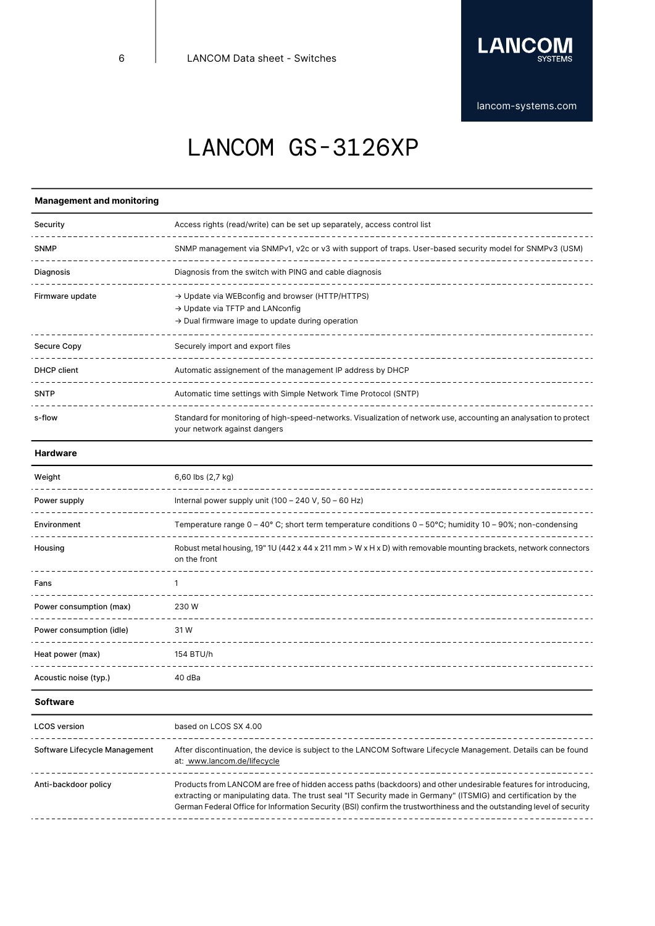

## **Management and monitoring**

| Security        | Access rights (read/write) can be set up separately, access control list                                                                                                    |
|-----------------|-----------------------------------------------------------------------------------------------------------------------------------------------------------------------------|
| <b>SNMP</b>     | SNMP management via SNMPv1, v2c or v3 with support of traps. User-based security model for SNMPv3 (USM)                                                                     |
| Diagnosis       | Diagnosis from the switch with PING and cable diagnosis                                                                                                                     |
| Firmware update | $\rightarrow$ Update via WEB config and browser (HTTP/HTTPS)<br>$\rightarrow$ Update via TFTP and LANconfig<br>$\rightarrow$ Dual firmware image to update during operation |
| Secure Copy     | Securely import and export files<br>---------------------------------                                                                                                       |
| DHCP client     | Automatic assignement of the management IP address by DHCP                                                                                                                  |
| <b>SNTP</b>     | Automatic time settings with Simple Network Time Protocol (SNTP)                                                                                                            |
| s-flow          | Standard for monitoring of high-speed-networks. Visualization of network use, accounting an analysation to protect<br>your network against dangers                          |

### **Hardware**

| Weight                   | 6,60 lbs (2,7 kg)                                                                                                                 |
|--------------------------|-----------------------------------------------------------------------------------------------------------------------------------|
| Power supply             | Internal power supply unit $(100 - 240 V, 50 - 60 Hz)$<br>-----------------------------------                                     |
| Environment              | Temperature range $0 - 40^{\circ}$ C; short term temperature conditions $0 - 50^{\circ}$ C; humidity 10 - 90%; non-condensing     |
| Housing                  | Robust metal housing, 19" 1U (442 x 44 x 211 mm > W x H x D) with removable mounting brackets, network connectors<br>on the front |
| Fans                     |                                                                                                                                   |
| Power consumption (max)  | 230 W                                                                                                                             |
| Power consumption (idle) | 31W                                                                                                                               |
| Heat power (max)         | 154 BTU/h                                                                                                                         |
| Acoustic noise (typ.)    | 40 dBa                                                                                                                            |

### **Software**

| <b>LCOS</b> version           | based on LCOS SX 4.00                                                                                                                                                                                                                                                                                                                                         |
|-------------------------------|---------------------------------------------------------------------------------------------------------------------------------------------------------------------------------------------------------------------------------------------------------------------------------------------------------------------------------------------------------------|
| Software Lifecycle Management | After discontinuation, the device is subject to the LANCOM Software Lifecycle Management. Details can be found<br>at: www.lancom.de/lifecycle                                                                                                                                                                                                                 |
| Anti-backdoor policy          | Products from LANCOM are free of hidden access paths (backdoors) and other undesirable features for introducing,<br>extracting or manipulating data. The trust seal "IT Security made in Germany" (ITSMIG) and certification by the<br>German Federal Office for Information Security (BSI) confirm the trustworthiness and the outstanding level of security |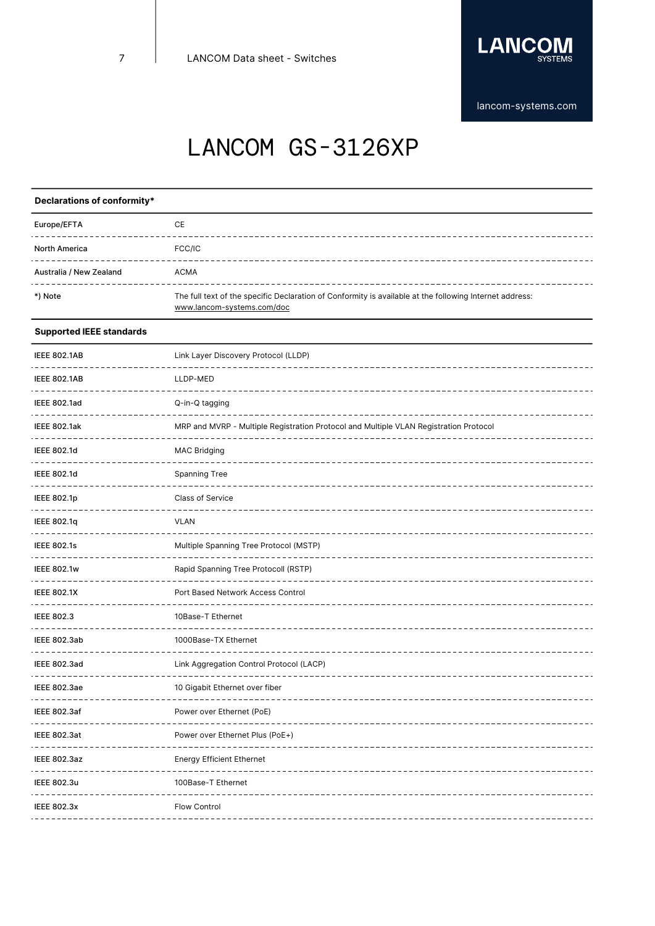

# LANCOM GS-3126XP

## **Declarations of conformity\***

| Europe/EFTA             | СE                                                                                                                                    |
|-------------------------|---------------------------------------------------------------------------------------------------------------------------------------|
| <b>North America</b>    | FCC/IC                                                                                                                                |
| Australia / New Zealand | <b>ACMA</b>                                                                                                                           |
| *) Note                 | The full text of the specific Declaration of Conformity is available at the following Internet address:<br>www.lancom-systems.com/doc |

## **Supported IEEE standards**

| <b>IEEE 802.1AB</b> | Link Layer Discovery Protocol (LLDP)                                                  |
|---------------------|---------------------------------------------------------------------------------------|
| <b>IEEE 802.1AB</b> | LLDP-MED                                                                              |
| <b>IEEE 802.1ad</b> | Q-in-Q tagging                                                                        |
| <b>IEEE 802.1ak</b> | MRP and MVRP - Multiple Registration Protocol and Multiple VLAN Registration Protocol |
| <b>IEEE 802.1d</b>  | <b>MAC Bridging</b>                                                                   |
| <b>IEEE 802.1d</b>  | Spanning Tree                                                                         |
| <b>IEEE 802.1p</b>  | Class of Service                                                                      |
| <b>IEEE 802.1q</b>  | <b>VLAN</b>                                                                           |
| <b>IEEE 802.1s</b>  | Multiple Spanning Tree Protocol (MSTP)                                                |
| <b>IEEE 802.1w</b>  | Rapid Spanning Tree Protocoll (RSTP)                                                  |
| <b>IEEE 802.1X</b>  | Port Based Network Access Control                                                     |
| <b>IEEE 802.3</b>   | 10Base-T Ethernet                                                                     |
| <b>IEEE 802.3ab</b> | 1000Base-TX Ethernet                                                                  |
| <b>IEEE 802.3ad</b> | Link Aggregation Control Protocol (LACP)                                              |
| <b>IEEE 802.3ae</b> | 10 Gigabit Ethernet over fiber                                                        |
| <b>IEEE 802.3af</b> | Power over Ethernet (PoE)                                                             |
| <b>IEEE 802.3at</b> | Power over Ethernet Plus (PoE+)                                                       |
| <b>IEEE 802.3az</b> | <b>Energy Efficient Ethernet</b>                                                      |
| <b>IEEE 802.3u</b>  | 100Base-T Ethernet                                                                    |
| <b>IEEE 802.3x</b>  | Flow Control                                                                          |
|                     |                                                                                       |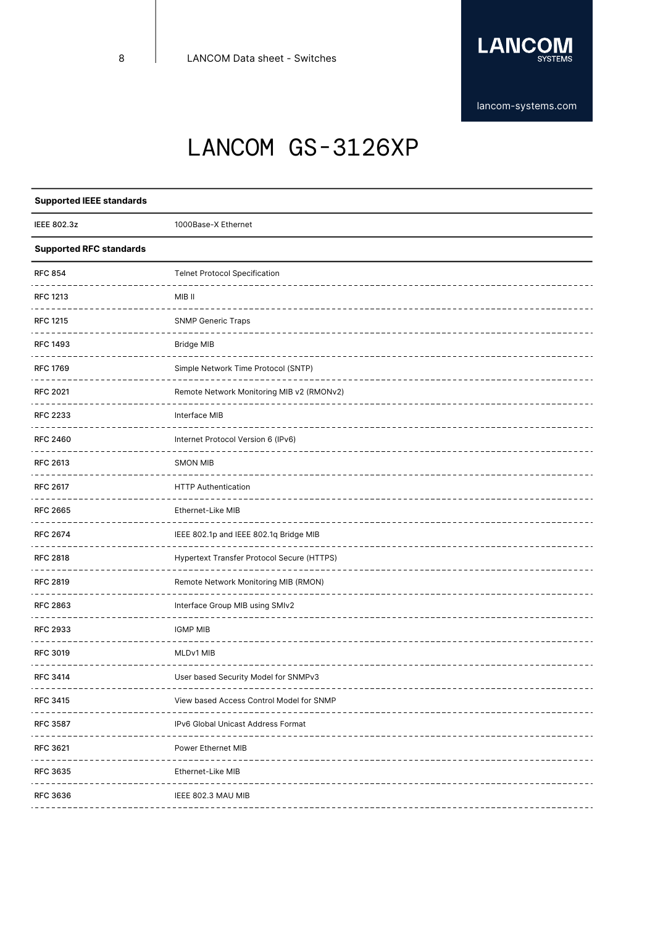

# LANCOM GS-3126XP

| <b>Supported IEEE standards</b>        |                                                                    |
|----------------------------------------|--------------------------------------------------------------------|
| <b>IEEE 802.3z</b>                     | 1000Base-X Ethernet                                                |
| <b>Supported RFC standards</b>         |                                                                    |
| <b>RFC 854</b>                         | <b>Telnet Protocol Specification</b>                               |
| RFC 1213                               | MIB II                                                             |
| <b>RFC 1215</b>                        | <b>SNMP Generic Traps</b>                                          |
| <b>RFC 1493</b>                        | <b>Bridge MIB</b>                                                  |
| <b>RFC 1769</b>                        | Simple Network Time Protocol (SNTP)                                |
| <b>RFC 2021</b>                        | Remote Network Monitoring MIB v2 (RMONv2)                          |
| <b>RFC 2233</b>                        | Interface MIB                                                      |
| <b>RFC 2460</b>                        | Internet Protocol Version 6 (IPv6)                                 |
| <b>RFC 2613</b>                        | <b>SMON MIB</b>                                                    |
| <b>RFC 2617</b>                        | <b>HTTP Authentication</b>                                         |
| <b>RFC 2665</b>                        | Ethernet-Like MIB                                                  |
| <b>RFC 2674</b>                        | IEEE 802.1p and IEEE 802.1q Bridge MIB                             |
| <b>RFC 2818</b>                        | Hypertext Transfer Protocol Secure (HTTPS)                         |
| <b>RFC 2819</b>                        | Remote Network Monitoring MIB (RMON)                               |
| <b>RFC 2863</b>                        | Interface Group MIB using SMIv2                                    |
| <b>RFC 2933</b>                        | <b>IGMP MIB</b>                                                    |
| <b>RFC 3019</b>                        | MLDv1 MIB                                                          |
| <b>RFC 3414</b>                        | User based Security Model for SNMPv3                               |
| <b>RFC 3415</b>                        | View based Access Control Model for SNMP                           |
| <b>RFC 3587</b><br>------------------- | IPv6 Global Unicast Address Format<br>---------------------------- |
| <b>RFC 3621</b>                        | <b>Power Ethernet MIB</b>                                          |
| <b>RFC 3635</b>                        | Ethernet-Like MIB                                                  |
| <b>RFC 3636</b>                        | IEEE 802.3 MAU MIB                                                 |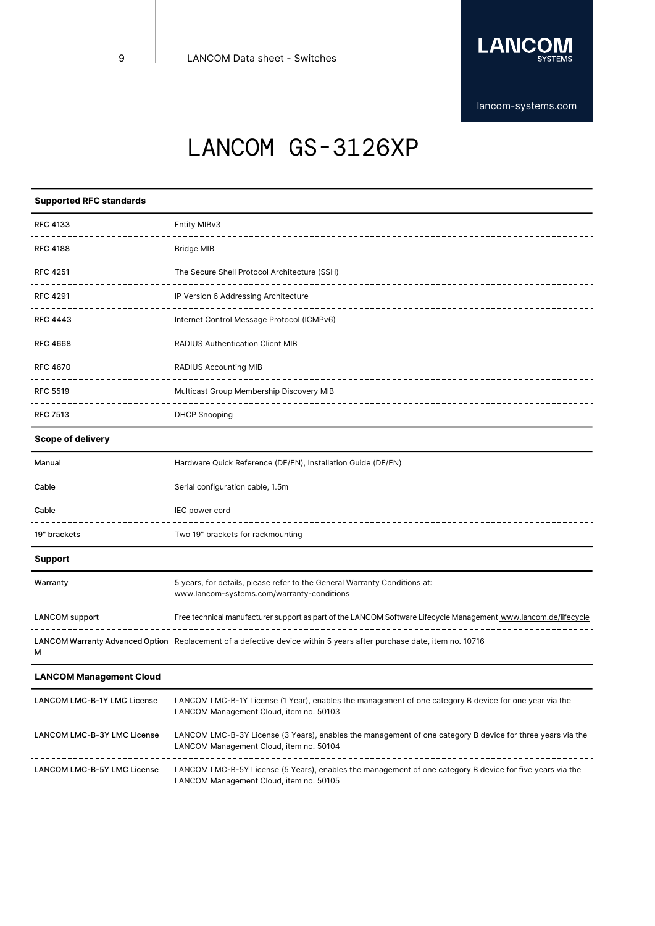

# LANCOM GS-3126XP

## **Supported RFC standards**

| <b>RFC 4133</b> | Entity MIBv3                                 |
|-----------------|----------------------------------------------|
| <b>RFC 4188</b> | <b>Bridge MIB</b>                            |
| <b>RFC 4251</b> | The Secure Shell Protocol Architecture (SSH) |
| <b>RFC 4291</b> | IP Version 6 Addressing Architecture         |
| <b>RFC 4443</b> | Internet Control Message Protocol (ICMPv6)   |
| <b>RFC 4668</b> | <b>RADIUS Authentication Client MIB</b>      |
| <b>RFC 4670</b> | <b>RADIUS Accounting MIB</b>                 |
| <b>RFC 5519</b> | Multicast Group Membership Discovery MIB     |
| <b>RFC 7513</b> | <b>DHCP Snooping</b>                         |

## **Scope of delivery**

| Manual       | Hardware Quick Reference (DE/EN), Installation Guide (DE/EN) |
|--------------|--------------------------------------------------------------|
| Cable        | Serial configuration cable, 1.5m                             |
| Cable        | IEC power cord                                               |
| 19" brackets | Two 19" brackets for rackmounting                            |

## **Support**

| Warranty              | 5 years, for details, please refer to the General Warranty Conditions at:<br>www.lancom-systems.com/warranty-conditions |
|-----------------------|-------------------------------------------------------------------------------------------------------------------------|
| <b>LANCOM</b> support | Free technical manufacturer support as part of the LANCOM Software Lifecycle Management www.lancom.de/lifecycle         |
| м                     | LANCOM Warranty Advanced Option Replacement of a defective device within 5 years after purchase date, item no. 10716    |

## **LANCOM Management Cloud**

| LANCOM Management Cloud, item no. 50103                                                                                                               |
|-------------------------------------------------------------------------------------------------------------------------------------------------------|
| LANCOM LMC-B-3Y License (3 Years), enables the management of one category B device for three years via the<br>LANCOM Management Cloud, item no. 50104 |
| LANCOM LMC-B-5Y License (5 Years), enables the management of one category B device for five years via the<br>LANCOM Management Cloud, item no. 50105  |
|                                                                                                                                                       |